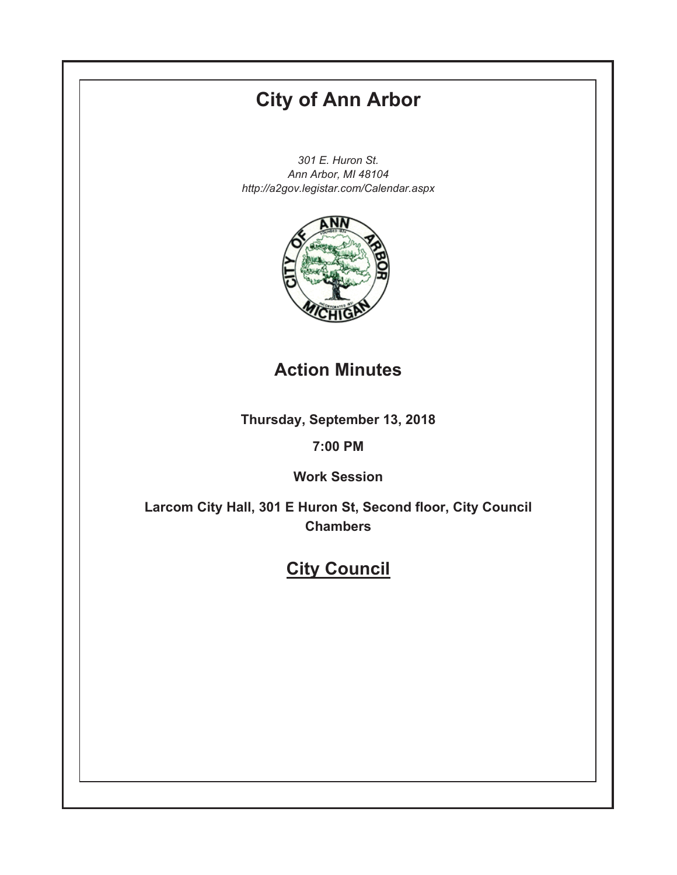# **City of Ann Arbor**

301 E. Huron St. Ann Arbor, MI 48104 http://a2gov.legistar.com/Calendar.aspx



# **Action Minutes**

Thursday, September 13, 2018

# 7:00 PM

**Work Session** 

Larcom City Hall, 301 E Huron St, Second floor, City Council **Chambers** 

# **City Council**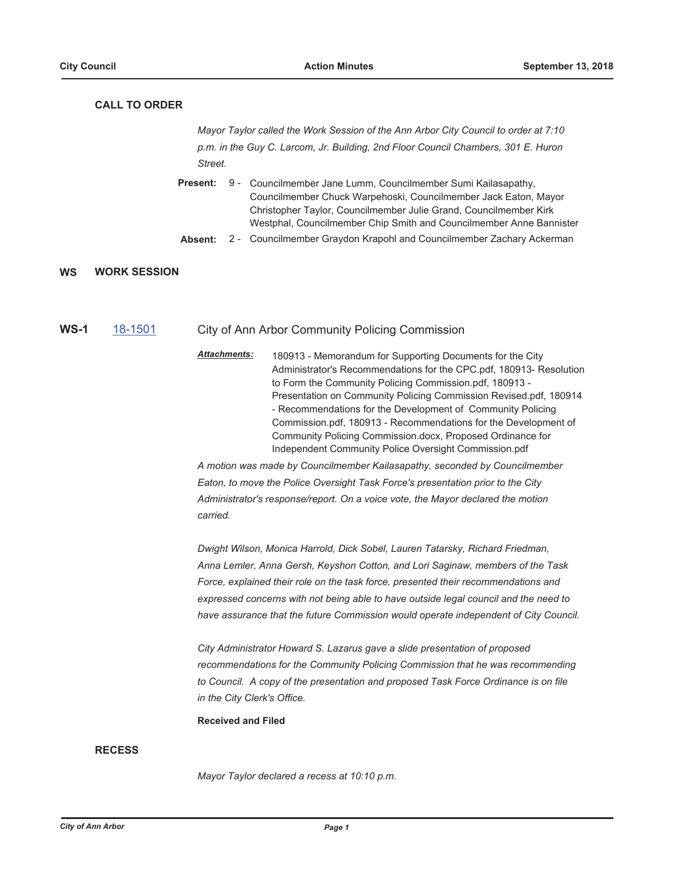## **CALL TO ORDER**

Mayor Taylor called the Work Session of the Ann Arbor City Council to order at 7:10 p.m. in the Guy C. Larcom, Jr. Building, 2nd Floor Council Chambers, 301 E. Huron Street.

- Present: 9 Councilmember Jane Lumm, Councilmember Sumi Kailasapathy, Councilmember Chuck Warpehoski, Councilmember Jack Eaton, Mayor Christopher Taylor, Councilmember Julie Grand, Councilmember Kirk Westphal, Councilmember Chip Smith and Councilmember Anne Bannister
- Absent: 2 - Councilmember Graydon Krapohl and Councilmember Zachary Ackerman

#### **WS WORK SESSION**

- $WS-1$ 18-1501
- City of Ann Arbor Community Policing Commission
- Attachments: 180913 - Memorandum for Supporting Documents for the City Administrator's Recommendations for the CPC.pdf, 180913- Resolution to Form the Community Policing Commission.pdf, 180913 -Presentation on Community Policing Commission Revised.pdf, 180914 - Recommendations for the Development of Community Policing Commission.pdf, 180913 - Recommendations for the Development of Community Policing Commission.docx, Proposed Ordinance for Independent Community Police Oversight Commission.pdf

A motion was made by Councilmember Kailasapathy, seconded by Councilmember Eaton, to move the Police Oversight Task Force's presentation prior to the City Administrator's response/report. On a voice vote, the Mayor declared the motion carried.

Dwight Wilson, Monica Harrold, Dick Sobel, Lauren Tatarsky, Richard Friedman, Anna Lemler, Anna Gersh, Keyshon Cotton, and Lori Saginaw, members of the Task Force, explained their role on the task force, presented their recommendations and expressed concerns with not being able to have outside legal council and the need to have assurance that the future Commission would operate independent of City Council.

City Administrator Howard S. Lazarus gave a slide presentation of proposed recommendations for the Community Policing Commission that he was recommending to Council. A copy of the presentation and proposed Task Force Ordinance is on file in the City Clerk's Office.

**Received and Filed** 

### **RECESS**

Mayor Taylor declared a recess at 10:10 p.m.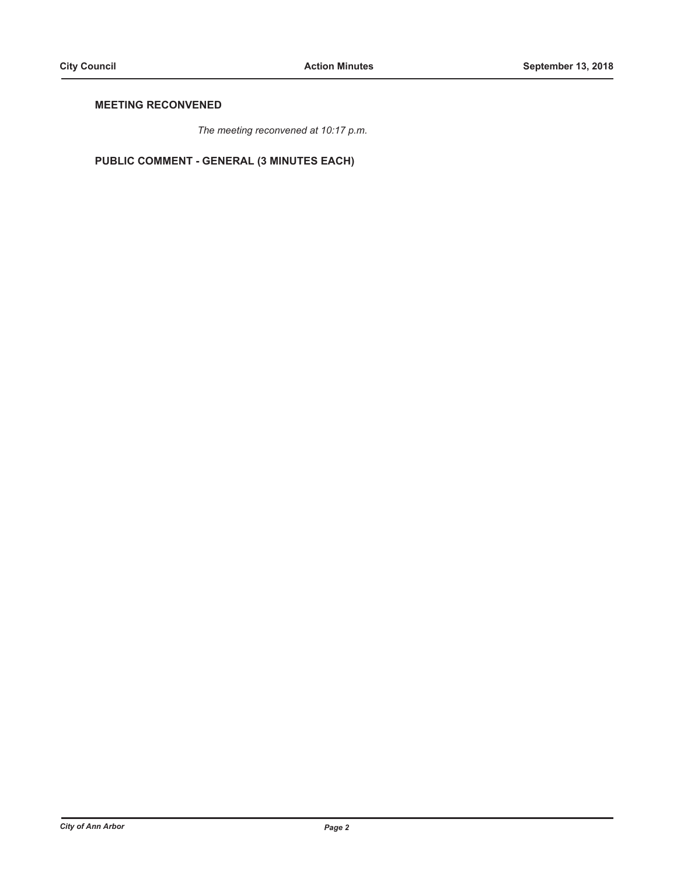# **MEETING RECONVENED**

The meeting reconvened at 10:17 p.m.

PUBLIC COMMENT - GENERAL (3 MINUTES EACH)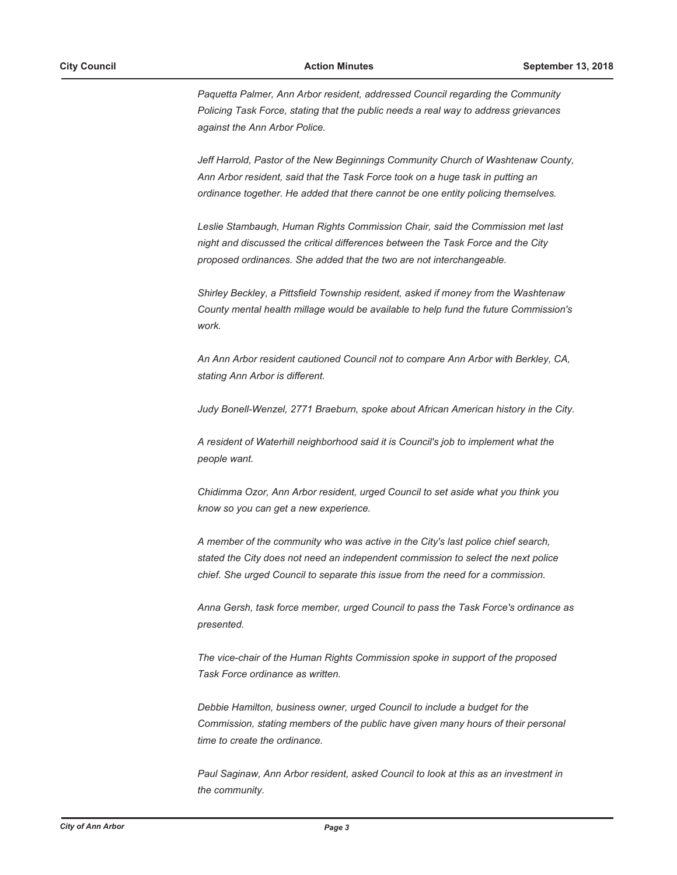Paquetta Palmer, Ann Arbor resident, addressed Council regarding the Community Policing Task Force, stating that the public needs a real way to address grievances against the Ann Arbor Police.

Jeff Harrold, Pastor of the New Beginnings Community Church of Washtenaw County, Ann Arbor resident, said that the Task Force took on a huge task in putting an ordinance together. He added that there cannot be one entity policing themselves.

Leslie Stambaugh, Human Rights Commission Chair, said the Commission met last night and discussed the critical differences between the Task Force and the City proposed ordinances. She added that the two are not interchangeable.

Shirley Beckley, a Pittsfield Township resident, asked if money from the Washtenaw County mental health millage would be available to help fund the future Commission's work.

An Ann Arbor resident cautioned Council not to compare Ann Arbor with Berkley, CA, stating Ann Arbor is different.

Judy Bonell-Wenzel, 2771 Braeburn, spoke about African American history in the City.

A resident of Waterhill neighborhood said it is Council's job to implement what the people want.

Chidimma Ozor, Ann Arbor resident, urged Council to set aside what you think you know so you can get a new experience.

A member of the community who was active in the City's last police chief search, stated the City does not need an independent commission to select the next police chief. She urged Council to separate this issue from the need for a commission.

Anna Gersh, task force member, urged Council to pass the Task Force's ordinance as presented.

The vice-chair of the Human Rights Commission spoke in support of the proposed Task Force ordinance as written.

Debbie Hamilton, business owner, urged Council to include a budget for the Commission, stating members of the public have given many hours of their personal time to create the ordinance.

Paul Saginaw, Ann Arbor resident, asked Council to look at this as an investment in the community.